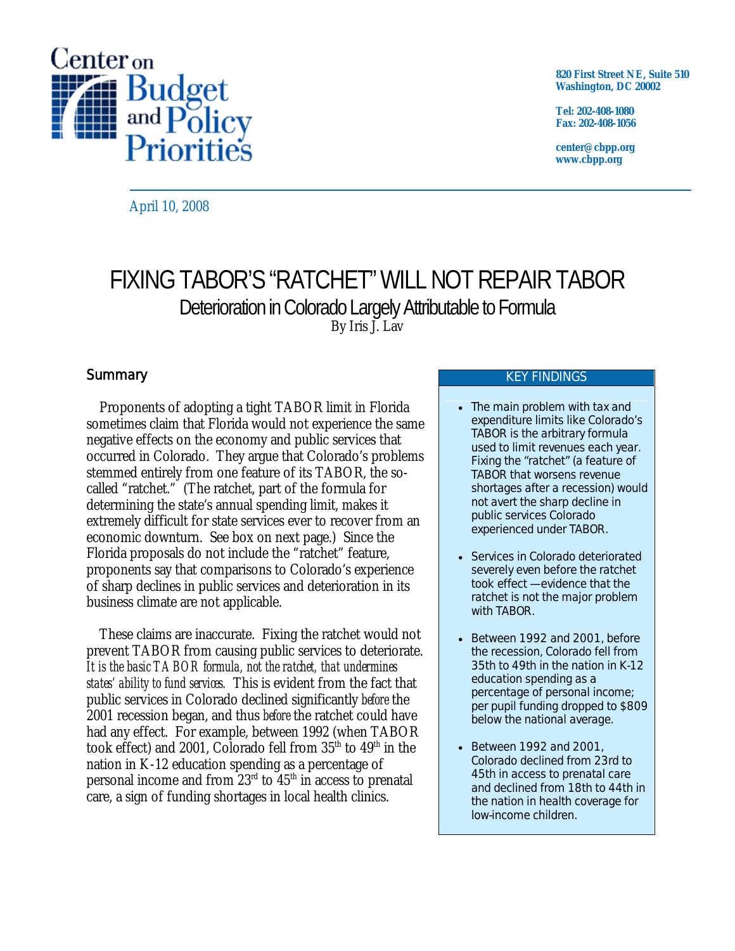

**820 First Street NE, Suite 510 Washington, DC 20002** 

**Tel: 202-408-1080 Fax: 202-408-1056** 

**center@cbpp.org www.cbpp.org** 

April 10, 2008

# FIXING TABOR'S "RATCHET" WILL NOT REPAIR TABOR Deterioration in Colorado Largely Attributable to Formula By Iris J. Lav

# **Summary**

 Proponents of adopting a tight TABOR limit in Florida sometimes claim that Florida would not experience the same negative effects on the economy and public services that occurred in Colorado. They argue that Colorado's problems stemmed entirely from one feature of its TABOR, the socalled "ratchet." (The ratchet, part of the formula for determining the state's annual spending limit, makes it extremely difficult for state services ever to recover from an economic downturn. See box on next page.) Since the Florida proposals do not include the "ratchet" feature, proponents say that comparisons to Colorado's experience of sharp declines in public services and deterioration in its business climate are not applicable.

These claims are inaccurate. Fixing the ratchet would not prevent TABOR from causing public services to deteriorate. *It is the basic TABOR formula, not the ratchet, that undermines states' ability to fund services.* This is evident from the fact that public services in Colorado declined significantly *before* the 2001 recession began, and thus *before* the ratchet could have had any effect. For example, between 1992 (when TABOR took effect) and 2001, Colorado fell from  $35<sup>th</sup>$  to  $49<sup>th</sup>$  in the nation in K-12 education spending as a percentage of personal income and from  $23<sup>rd</sup>$  to  $45<sup>th</sup>$  in access to prenatal care, a sign of funding shortages in local health clinics.

## KEY FINDINGS

- The main problem with tax and expenditure limits like Colorado's TABOR is the arbitrary formula used to limit revenues each year. Fixing the "ratchet" (a feature of TABOR that worsens revenue shortages after a recession) would not avert the sharp decline in public services Colorado experienced under TABOR.
- Services in Colorado deteriorated severely even before the ratchet took effect — evidence that the ratchet is not the major problem with TABOR.
- Between 1992 and 2001, before the recession, Colorado fell from 35th to 49th in the nation in K-12 education spending as a percentage of personal income; per pupil funding dropped to \$809 below the national average.
- Between 1992 and 2001, Colorado declined from 23rd to 45th in access to prenatal care and declined from 18th to 44th in the nation in health coverage for low-income children.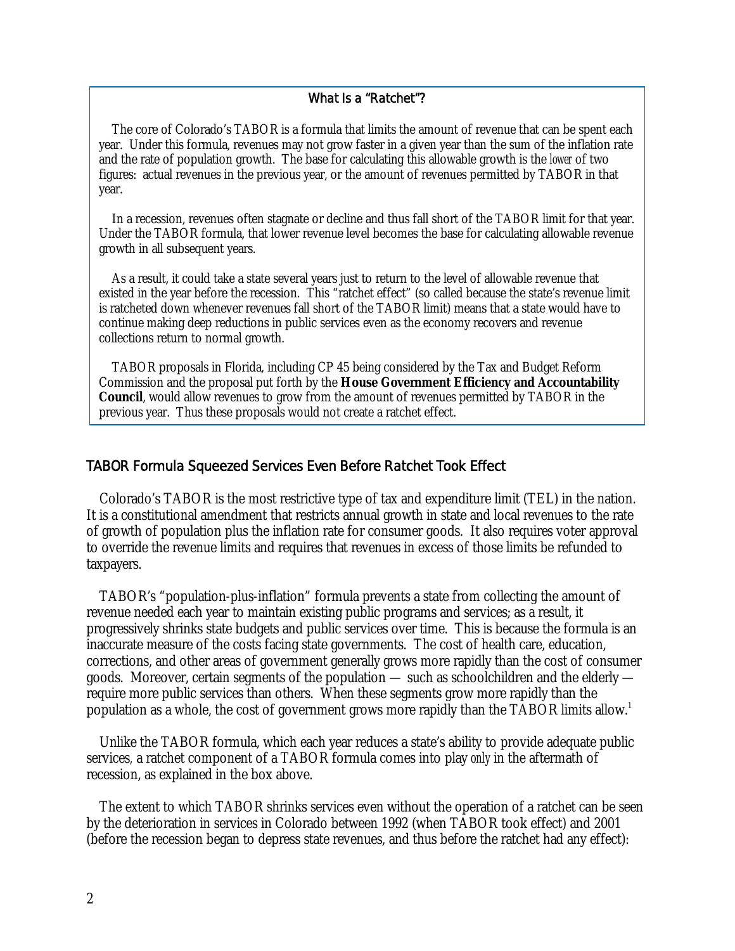#### What Is a "Ratchet"?

The core of Colorado's TABOR is a formula that limits the amount of revenue that can be spent each year. Under this formula, revenues may not grow faster in a given year than the sum of the inflation rate and the rate of population growth. The base for calculating this allowable growth is the *lower* of two figures: actual revenues in the previous year, or the amount of revenues permitted by TABOR in that year.

In a recession, revenues often stagnate or decline and thus fall short of the TABOR limit for that year. Under the TABOR formula, that lower revenue level becomes the base for calculating allowable revenue growth in all subsequent years.

As a result, it could take a state several years just to return to the level of allowable revenue that existed in the year before the recession. This "ratchet effect" (so called because the state's revenue limit is ratcheted down whenever revenues fall short of the TABOR limit) means that a state would have to continue making deep reductions in public services even as the economy recovers and revenue collections return to normal growth.

TABOR proposals in Florida, including CP 45 being considered by the Tax and Budget Reform Commission and the proposal put forth by the **House Government Efficiency and Accountability Council**, would allow revenues to grow from the amount of revenues permitted by TABOR in the previous year. Thus these proposals would not create a ratchet effect.

#### TABOR Formula Squeezed Services Even Before Ratchet Took Effect

 Colorado's TABOR is the most restrictive type of tax and expenditure limit (TEL) in the nation. It is a constitutional amendment that restricts annual growth in state and local revenues to the rate of growth of population plus the inflation rate for consumer goods. It also requires voter approval to override the revenue limits and requires that revenues in excess of those limits be refunded to taxpayers.

 TABOR's "population-plus-inflation" formula prevents a state from collecting the amount of revenue needed each year to maintain existing public programs and services; as a result, it progressively shrinks state budgets and public services over time. This is because the formula is an inaccurate measure of the costs facing state governments. The cost of health care, education, corrections, and other areas of government generally grows more rapidly than the cost of consumer goods. Moreover, certain segments of the population — such as schoolchildren and the elderly require more public services than others. When these segments grow more rapidly than the population as a whole, the cost of government grows more rapidly than the TABOR limits allow.<sup>1</sup>

 Unlike the TABOR formula, which each year reduces a state's ability to provide adequate public services*,* a ratchet component of a TABOR formula comes into play *only* in the aftermath of recession, as explained in the box above.

 The extent to which TABOR shrinks services even without the operation of a ratchet can be seen by the deterioration in services in Colorado between 1992 (when TABOR took effect) and 2001 (before the recession began to depress state revenues, and thus before the ratchet had any effect):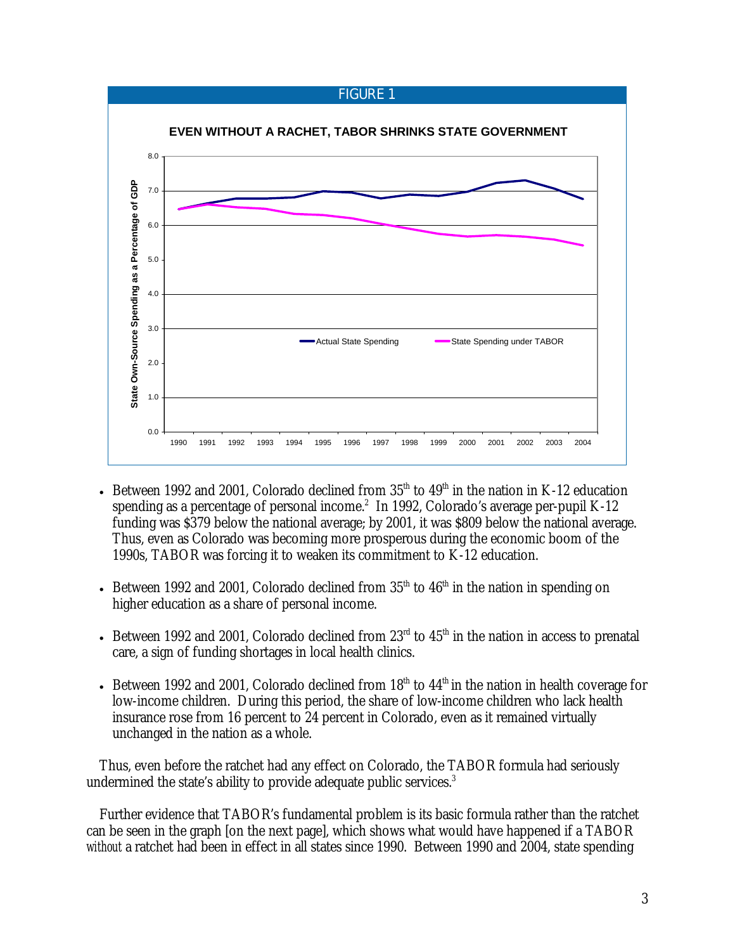## FIGURE 1



- Between 1992 and 2001, Colorado declined from  $35<sup>th</sup>$  to  $49<sup>th</sup>$  in the nation in K-12 education spending as a percentage of personal income.<sup>2</sup> In 1992, Colorado's average per-pupil K-12 funding was \$379 below the national average; by 2001, it was \$809 below the national average. Thus, even as Colorado was becoming more prosperous during the economic boom of the 1990s, TABOR was forcing it to weaken its commitment to K-12 education.
- Between 1992 and 2001, Colorado declined from  $35<sup>th</sup>$  to  $46<sup>th</sup>$  in the nation in spending on higher education as a share of personal income.
- Between 1992 and 2001, Colorado declined from  $23<sup>rd</sup>$  to  $45<sup>th</sup>$  in the nation in access to prenatal care, a sign of funding shortages in local health clinics.
- Between 1992 and 2001, Colorado declined from  $18<sup>th</sup>$  to  $44<sup>th</sup>$  in the nation in health coverage for low-income children. During this period, the share of low-income children who lack health insurance rose from 16 percent to 24 percent in Colorado, even as it remained virtually unchanged in the nation as a whole.

Thus, even before the ratchet had any effect on Colorado, the TABOR formula had seriously undermined the state's ability to provide adequate public services.<sup>3</sup>

Further evidence that TABOR's fundamental problem is its basic formula rather than the ratchet can be seen in the graph [on the next page], which shows what would have happened if a TABOR *without* a ratchet had been in effect in all states since 1990. Between 1990 and 2004, state spending